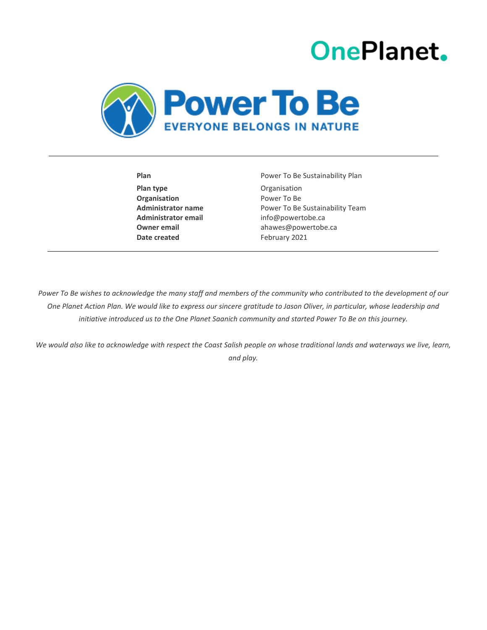# **OnePlanet.**



**Plan type Construction Organisation Organisation** Power To Be **Administrator email** info@powertobe.ca **Date created** February 2021

Plan **Plan** Power To Be Sustainability Plan **Administrator name** Power To Be Sustainability Team **Owner email** extending the ahawes@powertobe.call

Power To Be wishes to acknowledge the many staff and members of the community who contributed to the development of our *One Planet Action Plan. We would like to express our sincere gratitude to Jason Oliver, in particular, whose leadership and initiative introduced us to the One Planet Saanich community and started Power To Be on this journey.*

*We would also like to acknowledge with respect the Coast Salish people on whose traditional lands and waterways we live, learn, and play.*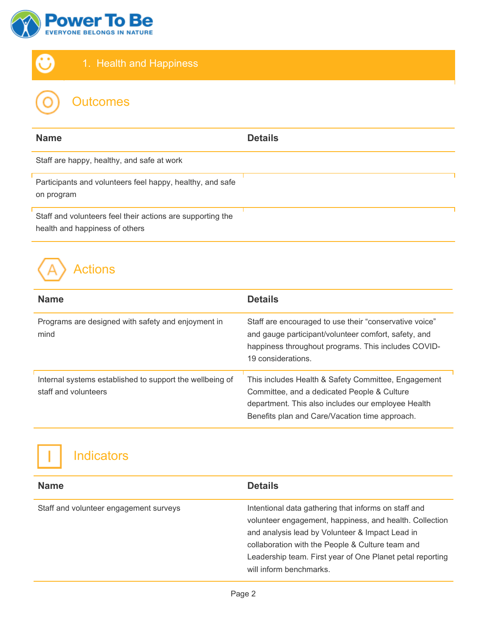



| <b>Outcomes</b> |  |
|-----------------|--|
|                 |  |

| <b>Name</b>                                                                                  | <b>Details</b> |
|----------------------------------------------------------------------------------------------|----------------|
| Staff are happy, healthy, and safe at work                                                   |                |
| Participants and volunteers feel happy, healthy, and safe<br>on program                      |                |
| Staff and volunteers feel their actions are supporting the<br>health and happiness of others |                |

| <b>Name</b>                                                                      | <b>Details</b>                                                                                                                                                                                             |
|----------------------------------------------------------------------------------|------------------------------------------------------------------------------------------------------------------------------------------------------------------------------------------------------------|
| Programs are designed with safety and enjoyment in<br>mind                       | Staff are encouraged to use their "conservative voice"<br>and gauge participant/volunteer comfort, safety, and<br>happiness throughout programs. This includes COVID-<br>19 considerations.                |
| Internal systems established to support the wellbeing of<br>staff and volunteers | This includes Health & Safety Committee, Engagement<br>Committee, and a dedicated People & Culture<br>department. This also includes our employee Health<br>Benefits plan and Care/Vacation time approach. |



| <b>Name</b>                            | <b>Details</b>                                                                                                                                                                                                                                                                                                 |
|----------------------------------------|----------------------------------------------------------------------------------------------------------------------------------------------------------------------------------------------------------------------------------------------------------------------------------------------------------------|
| Staff and volunteer engagement surveys | Intentional data gathering that informs on staff and<br>volunteer engagement, happiness, and health. Collection<br>and analysis lead by Volunteer & Impact Lead in<br>collaboration with the People & Culture team and<br>Leadership team. First year of One Planet petal reporting<br>will inform benchmarks. |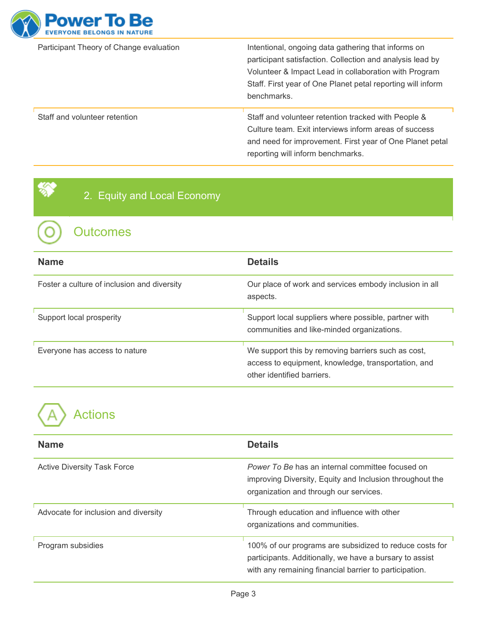

Participant Theory of Change evaluation Intentional, ongoing data gathering that informs on participant satisfaction. Collection and analysis lead by Volunteer & Impact Lead in collaboration with Program Staff. First year of One Planet petal reporting will inform benchmarks.

Staff and volunteer retention **Staff and volunteer retention tracked with People &** Culture team. Exit interviews inform areas of success and need for improvement. First year of One Planet petal reporting will inform benchmarks.

2. Equity and Local Economy

**Outcomes** 

| <b>Name</b>                                 | <b>Details</b>                                                                                                                          |
|---------------------------------------------|-----------------------------------------------------------------------------------------------------------------------------------------|
| Foster a culture of inclusion and diversity | Our place of work and services embody inclusion in all<br>aspects.                                                                      |
| Support local prosperity                    | Support local suppliers where possible, partner with<br>communities and like-minded organizations.                                      |
| Everyone has access to nature               | We support this by removing barriers such as cost,<br>access to equipment, knowledge, transportation, and<br>other identified barriers. |

| <b>Name</b>                          | <b>Details</b>                                                                                                                                                               |
|--------------------------------------|------------------------------------------------------------------------------------------------------------------------------------------------------------------------------|
| <b>Active Diversity Task Force</b>   | <i>Power To Be has an internal committee focused on</i><br>improving Diversity, Equity and Inclusion throughout the<br>organization and through our services.                |
| Advocate for inclusion and diversity | Through education and influence with other<br>organizations and communities.                                                                                                 |
| Program subsidies                    | 100% of our programs are subsidized to reduce costs for<br>participants. Additionally, we have a bursary to assist<br>with any remaining financial barrier to participation. |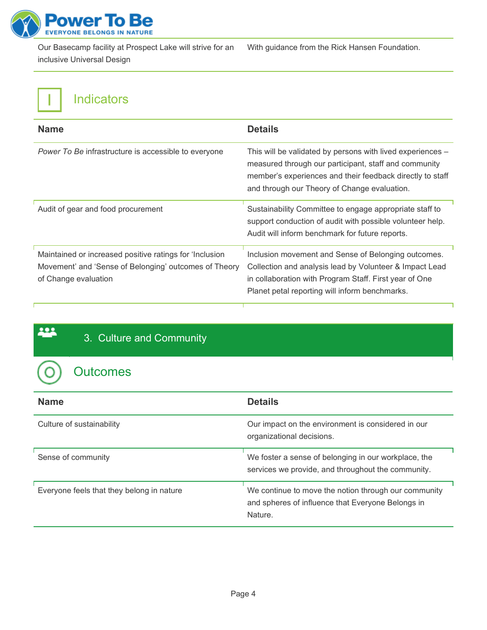

Our Basecamp facility at Prospect Lake will strive for an inclusive Universal Design

With guidance from the Rick Hansen Foundation.

### Indicators

| <b>Name</b>                                                                                                                              | <b>Details</b>                                                                                                                                                                                                                   |
|------------------------------------------------------------------------------------------------------------------------------------------|----------------------------------------------------------------------------------------------------------------------------------------------------------------------------------------------------------------------------------|
| Power To Be infrastructure is accessible to everyone                                                                                     | This will be validated by persons with lived experiences -<br>measured through our participant, staff and community<br>member's experiences and their feedback directly to staff<br>and through our Theory of Change evaluation. |
| Audit of gear and food procurement                                                                                                       | Sustainability Committee to engage appropriate staff to<br>support conduction of audit with possible volunteer help.<br>Audit will inform benchmark for future reports.                                                          |
| Maintained or increased positive ratings for 'Inclusion<br>Movement' and 'Sense of Belonging' outcomes of Theory<br>of Change evaluation | Inclusion movement and Sense of Belonging outcomes.<br>Collection and analysis lead by Volunteer & Impact Lead<br>in collaboration with Program Staff. First year of One<br>Planet petal reporting will inform benchmarks.       |

#### 3. Culture and Community

#### **Outcomes**

f

<u>...</u>

| <b>Name</b>                               | <b>Details</b>                                                                                                       |
|-------------------------------------------|----------------------------------------------------------------------------------------------------------------------|
| Culture of sustainability                 | Our impact on the environment is considered in our<br>organizational decisions.                                      |
| Sense of community                        | We foster a sense of belonging in our workplace, the<br>services we provide, and throughout the community.           |
| Everyone feels that they belong in nature | We continue to move the notion through our community<br>and spheres of influence that Everyone Belongs in<br>Nature. |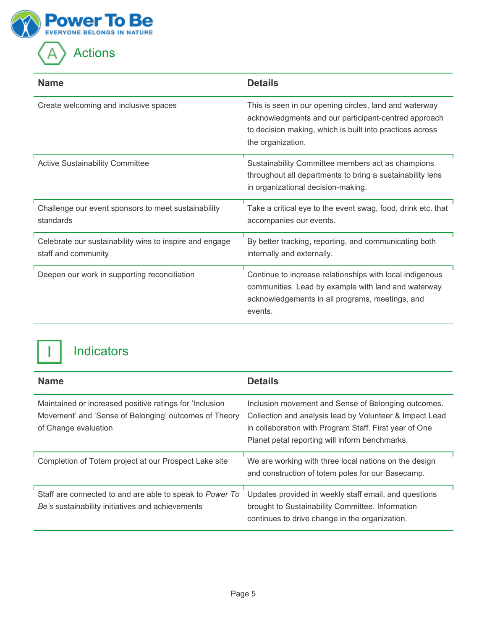

| <b>Name</b>                                                                    | <b>Details</b>                                                                                                                                                                                  |
|--------------------------------------------------------------------------------|-------------------------------------------------------------------------------------------------------------------------------------------------------------------------------------------------|
| Create welcoming and inclusive spaces                                          | This is seen in our opening circles, land and waterway<br>acknowledgments and our participant-centred approach<br>to decision making, which is built into practices across<br>the organization. |
| <b>Active Sustainability Committee</b>                                         | Sustainability Committee members act as champions<br>throughout all departments to bring a sustainability lens<br>in organizational decision-making.                                            |
| Challenge our event sponsors to meet sustainability<br>standards               | Take a critical eye to the event swag, food, drink etc. that<br>accompanies our events.                                                                                                         |
| Celebrate our sustainability wins to inspire and engage<br>staff and community | By better tracking, reporting, and communicating both<br>internally and externally.                                                                                                             |
| Deepen our work in supporting reconciliation                                   | Continue to increase relationships with local indigenous<br>communities. Lead by example with land and waterway<br>acknowledgements in all programs, meetings, and<br>events.                   |



| <b>Name</b>                                                                                                                              | <b>Details</b>                                                                                                                                                                                                             |
|------------------------------------------------------------------------------------------------------------------------------------------|----------------------------------------------------------------------------------------------------------------------------------------------------------------------------------------------------------------------------|
| Maintained or increased positive ratings for 'Inclusion<br>Movement' and 'Sense of Belonging' outcomes of Theory<br>of Change evaluation | Inclusion movement and Sense of Belonging outcomes.<br>Collection and analysis lead by Volunteer & Impact Lead<br>in collaboration with Program Staff. First year of One<br>Planet petal reporting will inform benchmarks. |
| Completion of Totem project at our Prospect Lake site                                                                                    | We are working with three local nations on the design<br>and construction of totem poles for our Basecamp.                                                                                                                 |
| Staff are connected to and are able to speak to Power To<br>Be's sustainability initiatives and achievements                             | Updates provided in weekly staff email, and questions<br>brought to Sustainability Committee. Information<br>continues to drive change in the organization.                                                                |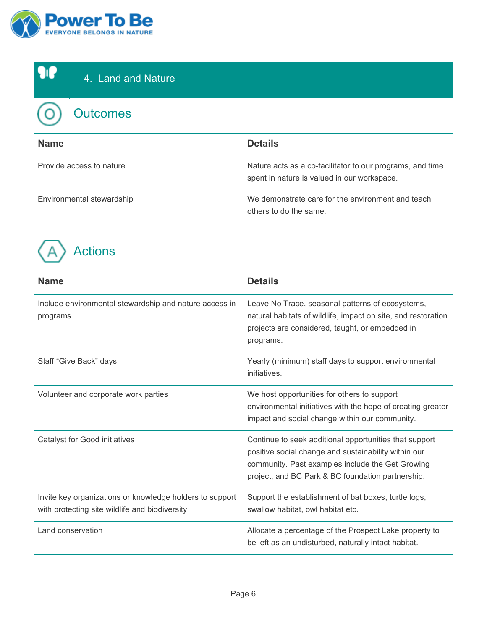



| <b>Name</b>               | <b>Details</b>                                                                                           |
|---------------------------|----------------------------------------------------------------------------------------------------------|
| Provide access to nature  | Nature acts as a co-facilitator to our programs, and time<br>spent in nature is valued in our workspace. |
| Environmental stewardship | We demonstrate care for the environment and teach<br>others to do the same.                              |



| <b>Name</b>                                                                                                | <b>Details</b>                                                                                                                                                                                                          |
|------------------------------------------------------------------------------------------------------------|-------------------------------------------------------------------------------------------------------------------------------------------------------------------------------------------------------------------------|
| Include environmental stewardship and nature access in<br>programs                                         | Leave No Trace, seasonal patterns of ecosystems,<br>natural habitats of wildlife, impact on site, and restoration<br>projects are considered, taught, or embedded in<br>programs.                                       |
| Staff "Give Back" days                                                                                     | Yearly (minimum) staff days to support environmental<br>initiatives.                                                                                                                                                    |
| Volunteer and corporate work parties                                                                       | We host opportunities for others to support<br>environmental initiatives with the hope of creating greater<br>impact and social change within our community.                                                            |
| <b>Catalyst for Good initiatives</b>                                                                       | Continue to seek additional opportunities that support<br>positive social change and sustainability within our<br>community. Past examples include the Get Growing<br>project, and BC Park & BC foundation partnership. |
| Invite key organizations or knowledge holders to support<br>with protecting site wildlife and biodiversity | Support the establishment of bat boxes, turtle logs,<br>swallow habitat, owl habitat etc.                                                                                                                               |
| Land conservation                                                                                          | Allocate a percentage of the Prospect Lake property to<br>be left as an undisturbed, naturally intact habitat.                                                                                                          |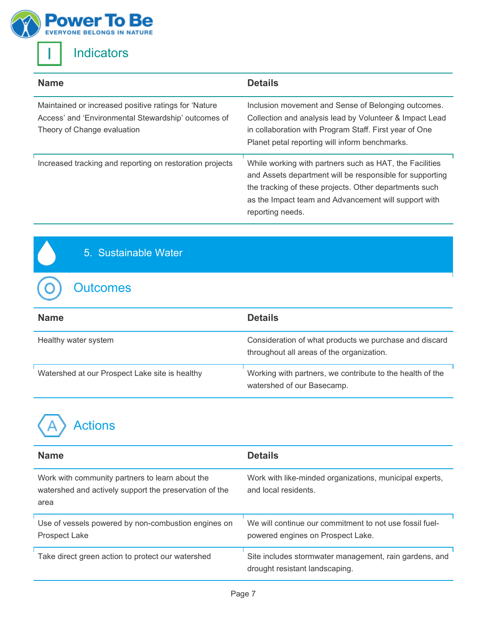



O

### **Indicators**

| <b>Name</b>                                                                                                                                 | <b>Details</b>                                                                                                                                                                                                                                            |
|---------------------------------------------------------------------------------------------------------------------------------------------|-----------------------------------------------------------------------------------------------------------------------------------------------------------------------------------------------------------------------------------------------------------|
| Maintained or increased positive ratings for 'Nature'<br>Access' and 'Environmental Stewardship' outcomes of<br>Theory of Change evaluation | Inclusion movement and Sense of Belonging outcomes.<br>Collection and analysis lead by Volunteer & Impact Lead<br>in collaboration with Program Staff. First year of One<br>Planet petal reporting will inform benchmarks.                                |
| Increased tracking and reporting on restoration projects                                                                                    | While working with partners such as HAT, the Facilities<br>and Assets department will be responsible for supporting<br>the tracking of these projects. Other departments such<br>as the Impact team and Advancement will support with<br>reporting needs. |

#### 5. Sustainable Water

#### **Outcomes**

| <b>Name</b>                                    | <b>Details</b>                                                                                      |
|------------------------------------------------|-----------------------------------------------------------------------------------------------------|
| Healthy water system                           | Consideration of what products we purchase and discard<br>throughout all areas of the organization. |
| Watershed at our Prospect Lake site is healthy | Working with partners, we contribute to the health of the<br>watershed of our Basecamp.             |

| <b>Name</b>                                                                                                       | <b>Details</b>                                                                               |
|-------------------------------------------------------------------------------------------------------------------|----------------------------------------------------------------------------------------------|
| Work with community partners to learn about the<br>watershed and actively support the preservation of the<br>area | Work with like-minded organizations, municipal experts,<br>and local residents.              |
| Use of vessels powered by non-combustion engines on<br>Prospect Lake                                              | We will continue our commitment to not use fossil fuel-<br>powered engines on Prospect Lake. |
| Take direct green action to protect our watershed                                                                 | Site includes stormwater management, rain gardens, and<br>drought resistant landscaping.     |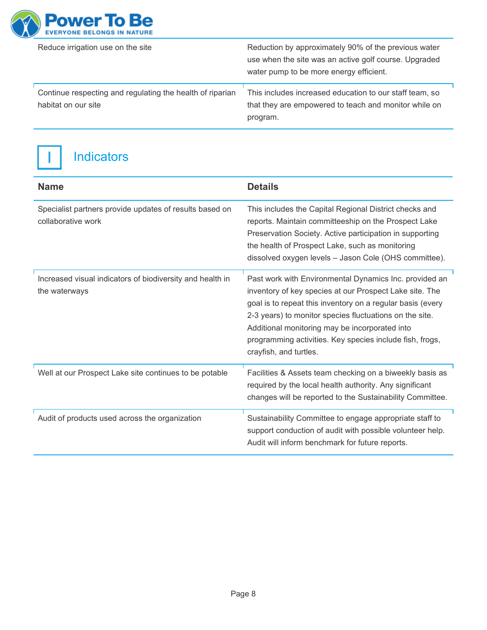

| Reduce irrigation use on the site                                                | Reduction by approximately 90% of the previous water<br>use when the site was an active golf course. Upgraded<br>water pump to be more energy efficient. |
|----------------------------------------------------------------------------------|----------------------------------------------------------------------------------------------------------------------------------------------------------|
| Continue respecting and regulating the health of riparian<br>habitat on our site | This includes increased education to our staff team, so<br>that they are empowered to teach and monitor while on<br>program.                             |



| <b>Name</b>                                                                   | <b>Details</b>                                                                                                                                                                                                                                                                                                                                                                     |
|-------------------------------------------------------------------------------|------------------------------------------------------------------------------------------------------------------------------------------------------------------------------------------------------------------------------------------------------------------------------------------------------------------------------------------------------------------------------------|
| Specialist partners provide updates of results based on<br>collaborative work | This includes the Capital Regional District checks and<br>reports. Maintain committeeship on the Prospect Lake<br>Preservation Society. Active participation in supporting<br>the health of Prospect Lake, such as monitoring<br>dissolved oxygen levels - Jason Cole (OHS committee).                                                                                             |
| Increased visual indicators of biodiversity and health in<br>the waterways    | Past work with Environmental Dynamics Inc. provided an<br>inventory of key species at our Prospect Lake site. The<br>goal is to repeat this inventory on a regular basis (every<br>2-3 years) to monitor species fluctuations on the site.<br>Additional monitoring may be incorporated into<br>programming activities. Key species include fish, frogs,<br>crayfish, and turtles. |
| Well at our Prospect Lake site continues to be potable                        | Facilities & Assets team checking on a biweekly basis as<br>required by the local health authority. Any significant<br>changes will be reported to the Sustainability Committee.                                                                                                                                                                                                   |
| Audit of products used across the organization                                | Sustainability Committee to engage appropriate staff to<br>support conduction of audit with possible volunteer help.<br>Audit will inform benchmark for future reports.                                                                                                                                                                                                            |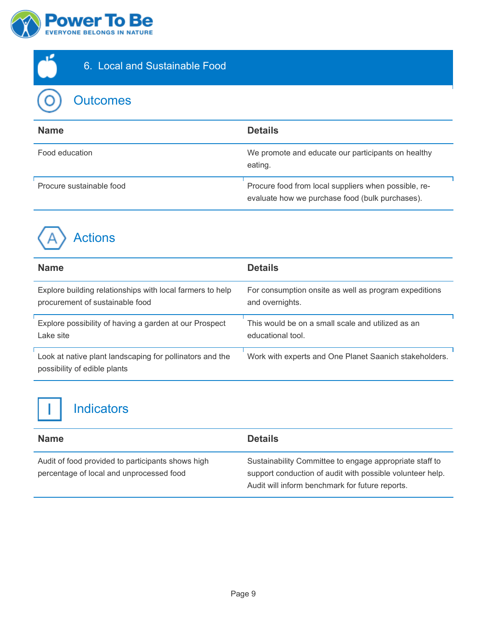



#### 6. Local and Sustainable Food

**Outcomes** 

| <b>Name</b>              | <b>Details</b>                                                                                          |
|--------------------------|---------------------------------------------------------------------------------------------------------|
| Food education           | We promote and educate our participants on healthy<br>eating.                                           |
| Procure sustainable food | Procure food from local suppliers when possible, re-<br>evaluate how we purchase food (bulk purchases). |



| <b>Name</b>                                                                              | <b>Details</b>                                         |
|------------------------------------------------------------------------------------------|--------------------------------------------------------|
| Explore building relationships with local farmers to help                                | For consumption onsite as well as program expeditions  |
| procurement of sustainable food                                                          | and overnights.                                        |
| Explore possibility of having a garden at our Prospect                                   | This would be on a small scale and utilized as an      |
| Lake site                                                                                | educational tool.                                      |
| Look at native plant landscaping for pollinators and the<br>possibility of edible plants | Work with experts and One Planet Saanich stakeholders. |

| <b>Name</b>                                                                                   | <b>Details</b>                                                                                                                                                          |
|-----------------------------------------------------------------------------------------------|-------------------------------------------------------------------------------------------------------------------------------------------------------------------------|
| Audit of food provided to participants shows high<br>percentage of local and unprocessed food | Sustainability Committee to engage appropriate staff to<br>support conduction of audit with possible volunteer help.<br>Audit will inform benchmark for future reports. |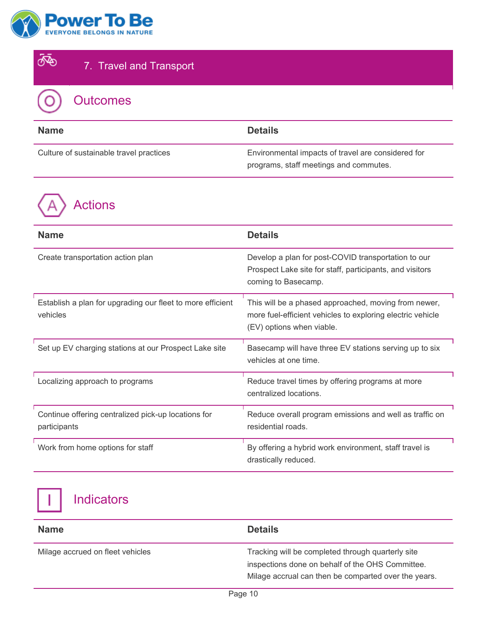



| <b>Name</b>                             | <b>Details</b>                                                                               |
|-----------------------------------------|----------------------------------------------------------------------------------------------|
| Culture of sustainable travel practices | Environmental impacts of travel are considered for<br>programs, staff meetings and commutes. |

Actions

| <b>Name</b>                                                            | <b>Details</b>                                                                                                                                  |
|------------------------------------------------------------------------|-------------------------------------------------------------------------------------------------------------------------------------------------|
| Create transportation action plan                                      | Develop a plan for post-COVID transportation to our<br>Prospect Lake site for staff, participants, and visitors<br>coming to Basecamp.          |
| Establish a plan for upgrading our fleet to more efficient<br>vehicles | This will be a phased approached, moving from newer,<br>more fuel-efficient vehicles to exploring electric vehicle<br>(EV) options when viable. |
| Set up EV charging stations at our Prospect Lake site                  | Basecamp will have three EV stations serving up to six<br>vehicles at one time.                                                                 |
| Localizing approach to programs                                        | Reduce travel times by offering programs at more<br>centralized locations.                                                                      |
| Continue offering centralized pick-up locations for<br>participants    | Reduce overall program emissions and well as traffic on<br>residential roads.                                                                   |
| Work from home options for staff                                       | By offering a hybrid work environment, staff travel is<br>drastically reduced.                                                                  |

| <b>Name</b>                      | <b>Details</b>                                                                                                                                                |
|----------------------------------|---------------------------------------------------------------------------------------------------------------------------------------------------------------|
| Milage accrued on fleet vehicles | Tracking will be completed through quarterly site<br>inspections done on behalf of the OHS Committee.<br>Milage accrual can then be comparted over the years. |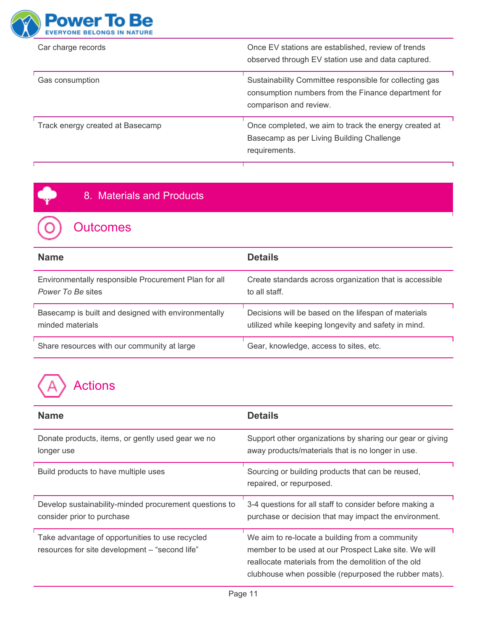

Г

| Car charge records               | Once EV stations are established, review of trends<br>observed through EV station use and data captured.                                 |
|----------------------------------|------------------------------------------------------------------------------------------------------------------------------------------|
| Gas consumption                  | Sustainability Committee responsible for collecting gas<br>consumption numbers from the Finance department for<br>comparison and review. |
| Track energy created at Basecamp | Once completed, we aim to track the energy created at<br>Basecamp as per Living Building Challenge<br>requirements.                      |

٦

#### 8. Materials and Products

# **Outcomes**

| <b>Name</b>                                          | <b>Details</b>                                          |
|------------------------------------------------------|---------------------------------------------------------|
| Environmentally responsible Procurement Plan for all | Create standards across organization that is accessible |
| Power To Be sites                                    | to all staff.                                           |
| Basecamp is built and designed with environmentally  | Decisions will be based on the lifespan of materials    |
| minded materials                                     | utilized while keeping longevity and safety in mind.    |
| Share resources with our community at large          | Gear, knowledge, access to sites, etc.                  |

| <b>Name</b>                                                                                       | <b>Details</b>                                                                                                                                                                                                          |
|---------------------------------------------------------------------------------------------------|-------------------------------------------------------------------------------------------------------------------------------------------------------------------------------------------------------------------------|
| Donate products, items, or gently used gear we no<br>longer use                                   | Support other organizations by sharing our gear or giving<br>away products/materials that is no longer in use.                                                                                                          |
| Build products to have multiple uses                                                              | Sourcing or building products that can be reused,<br>repaired, or repurposed.                                                                                                                                           |
| Develop sustainability-minded procurement questions to<br>consider prior to purchase              | 3-4 questions for all staff to consider before making a<br>purchase or decision that may impact the environment.                                                                                                        |
| Take advantage of opportunities to use recycled<br>resources for site development - "second life" | We aim to re-locate a building from a community<br>member to be used at our Prospect Lake site. We will<br>reallocate materials from the demolition of the old<br>clubhouse when possible (repurposed the rubber mats). |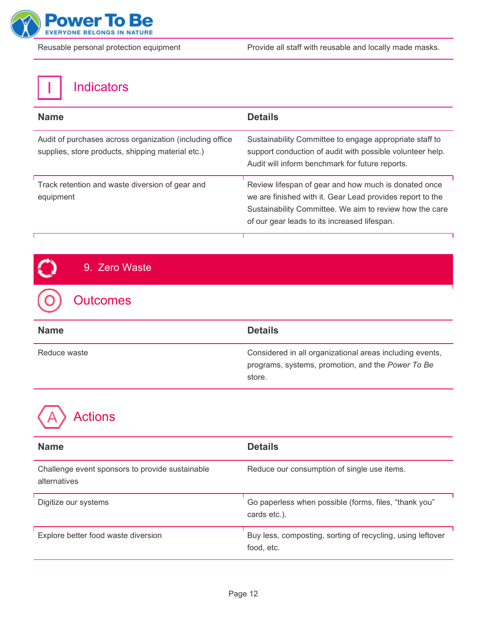

| <b>Name</b>                                                                                                   | <b>Details</b>                                                                                                                                                                                                               |
|---------------------------------------------------------------------------------------------------------------|------------------------------------------------------------------------------------------------------------------------------------------------------------------------------------------------------------------------------|
| Audit of purchases across organization (including office<br>supplies, store products, shipping material etc.) | Sustainability Committee to engage appropriate staff to<br>support conduction of audit with possible volunteer help.<br>Audit will inform benchmark for future reports.                                                      |
| Track retention and waste diversion of gear and<br>equipment                                                  | Review lifespan of gear and how much is donated once<br>we are finished with it. Gear Lead provides report to the<br>Sustainability Committee. We aim to review how the care<br>of our gear leads to its increased lifespan. |

| 9. Zero Waste   |                                                                                                                         |
|-----------------|-------------------------------------------------------------------------------------------------------------------------|
| <b>Outcomes</b> |                                                                                                                         |
| <b>Name</b>     | <b>Details</b>                                                                                                          |
| Reduce waste    | Considered in all organizational areas including events,<br>programs, systems, promotion, and the Power To Be<br>store. |



| <b>Name</b>                                                     | <b>Details</b>                                                           |
|-----------------------------------------------------------------|--------------------------------------------------------------------------|
| Challenge event sponsors to provide sustainable<br>alternatives | Reduce our consumption of single use items.                              |
| Digitize our systems                                            | Go paperless when possible (forms, files, "thank you"<br>cards etc.).    |
| Explore better food waste diversion                             | Buy less, composting, sorting of recycling, using leftover<br>food, etc. |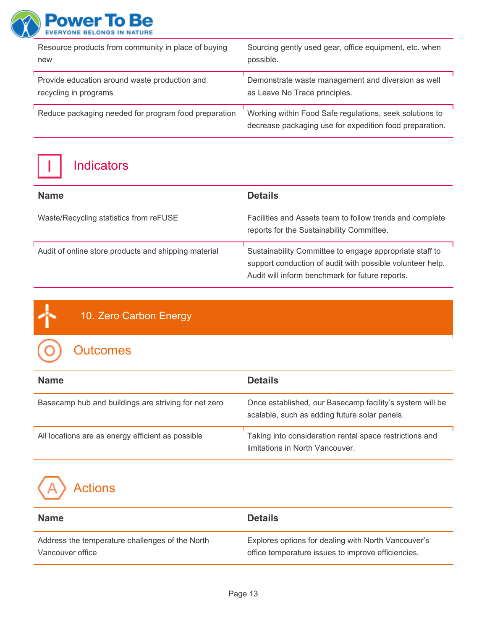

| Resource products from community in place of buying  | Sourcing gently used gear, office equipment, etc. when                                                             |
|------------------------------------------------------|--------------------------------------------------------------------------------------------------------------------|
| new                                                  | possible.                                                                                                          |
| Provide education around waste production and        | Demonstrate waste management and diversion as well                                                                 |
| recycling in programs                                | as Leave No Trace principles.                                                                                      |
| Reduce packaging needed for program food preparation | Working within Food Safe regulations, seek solutions to<br>decrease packaging use for expedition food preparation. |

Indicators

| <b>Name</b>                                          | <b>Details</b>                                                                                                                                                          |
|------------------------------------------------------|-------------------------------------------------------------------------------------------------------------------------------------------------------------------------|
| Waste/Recycling statistics from reFUSE               | Facilities and Assets team to follow trends and complete<br>reports for the Sustainability Committee.                                                                   |
| Audit of online store products and shipping material | Sustainability Committee to engage appropriate staff to<br>support conduction of audit with possible volunteer help.<br>Audit will inform benchmark for future reports. |

#### 10. Zero Carbon Energy

# **Outcomes**

| <b>Name</b>                                          | <b>Details</b>                                                                                            |
|------------------------------------------------------|-----------------------------------------------------------------------------------------------------------|
| Basecamp hub and buildings are striving for net zero | Once established, our Basecamp facility's system will be<br>scalable, such as adding future solar panels. |
| All locations are as energy efficient as possible    | Taking into consideration rental space restrictions and<br>limitations in North Vancouver.                |

| <b>Name</b>                                     | <b>Details</b>                                      |
|-------------------------------------------------|-----------------------------------------------------|
| Address the temperature challenges of the North | Explores options for dealing with North Vancouver's |
| Vancouver office                                | office temperature issues to improve efficiencies.  |